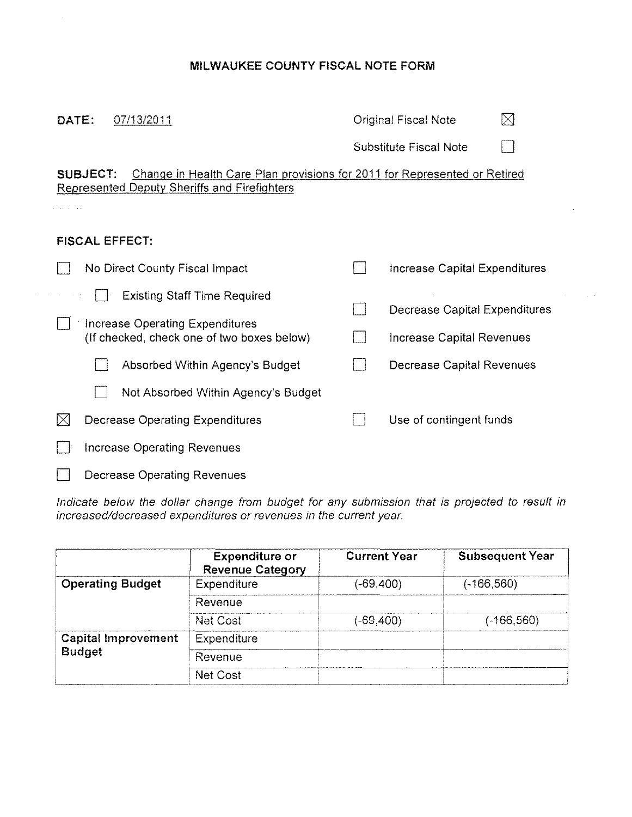# **MILWAUKEE COUNTY FISCAL NOTE FORM**

 $\mathcal{A}^{\prime}$ 

| DATE:<br>07/13/2011                                                                                                                          | $\bowtie$<br><b>Original Fiscal Note</b> |  |
|----------------------------------------------------------------------------------------------------------------------------------------------|------------------------------------------|--|
|                                                                                                                                              | Substitute Fiscal Note                   |  |
| Change in Health Care Plan provisions for 2011 for Represented or Retired<br><b>SUBJECT:</b><br>Represented Deputy Sheriffs and Firefighters |                                          |  |
| <b>FISCAL EFFECT:</b>                                                                                                                        |                                          |  |
| No Direct County Fiscal Impact                                                                                                               | Increase Capital Expenditures            |  |
| <b>Existing Staff Time Required</b>                                                                                                          | Decrease Capital Expenditures            |  |
| <b>Increase Operating Expenditures</b><br>(If checked, check one of two boxes below)                                                         | Increase Capital Revenues                |  |
| Absorbed Within Agency's Budget                                                                                                              | Decrease Capital Revenues                |  |
| Not Absorbed Within Agency's Budget                                                                                                          |                                          |  |
| $\times$<br><b>Decrease Operating Expenditures</b>                                                                                           | Use of contingent funds                  |  |
| Increase Operating Revenues                                                                                                                  |                                          |  |
| <b>Decrease Operating Revenues</b>                                                                                                           |                                          |  |

Indicate below the dollar change from budget for any submission that is projected to result in increased/decreased expenditures or revenues in the current year.

|                            | <b>Expenditure or</b><br><b>Revenue Category</b> | <b>Current Year</b> | <b>Subsequent Year</b> |
|----------------------------|--------------------------------------------------|---------------------|------------------------|
| <b>Operating Budget</b>    | Expenditure                                      | $(-69, 400)$        | $(-166, 560)$          |
|                            | Revenue                                          |                     |                        |
|                            | Net Cost                                         | (-69,400)           | $(-166, 560)$          |
| <b>Capital Improvement</b> | Expenditure                                      |                     |                        |
| <b>Budget</b>              | Revenue                                          |                     |                        |
|                            | Net Cost                                         |                     |                        |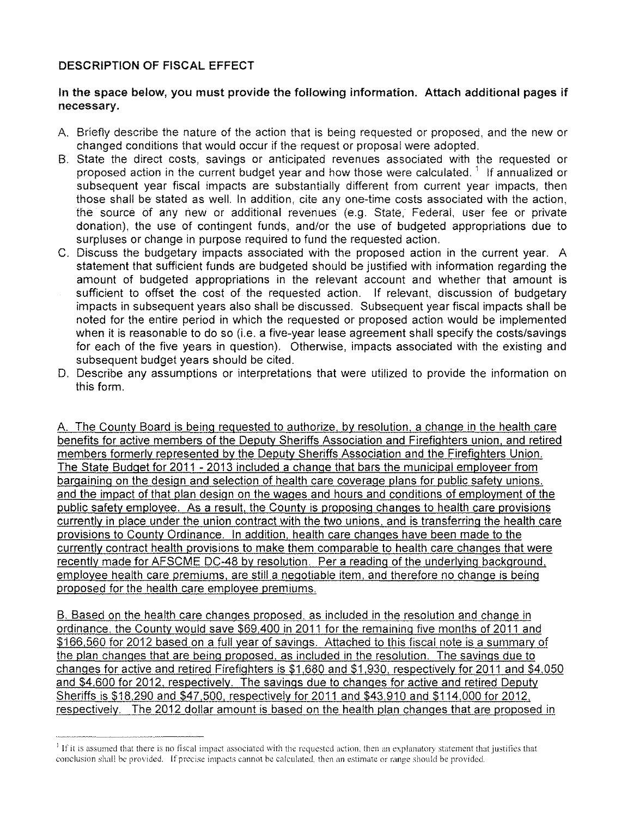# DESCRIPTION OF FISCAL EFFECT

## In the space below, you must provide the following information. Attach additional pages if necessary.

- A Briefly describe the nature of the action that is being requested or proposed, and the new or changed conditions that would occur if the request or proposal were adopted,
- B. State the direct costs, savings or anticipated revenues associated with the requested or proposed action in the current budget year and how those were calculated.<sup>1</sup> If annualized or subsequent year fiscal impacts are substantially different from current year impacts, then those shall be stated as well. In addition, cite anyone-time costs associated with the action. the source of any new or additional revenues (e.q. State, Federal, user fee or private donation), the use of contingent funds, and/or the use of budgeted appropriations due to surpluses or change in purpose required to fund the requested action.
- C. Discuss the budgetary impacts associated with the proposed action in the current year. A statement that sufficient funds are budgeted should be justified with information regarding the amount of budgeted appropriations in the relevant account and whether that amount is sufficient to offset the cost of the requested action. If relevant, discussion of budgetary impacts in subsequent years also shall be discussed. Subsequent year fiscal impacts shall be noted for the entire period in which the requested or proposed action would be implemented when it is reasonable to do so (i.e. a five-year lease agreement shall specify the costs/savings for each of the five years in question). Otherwise, impacts associated with the existing and subsequent budget years should be cited.
- D. Describe any assumptions or interpretations that were utilized to provide the information on this form.

A The County Board is being requested to authorize. by resolution, a change in the health care benefits for active members of the Deputy Sheriffs Association and Firefighters union, and retired members formerly represented by the Deputy Sheriffs Association and the Firefighters Union. The State Budget for 2011 - 2013 included a change that bars the municipal employeer from bargaining on the design and selection of health care coverage plans for public safety unions. and the impact of that plan design on the wages and hours and conditions of employment of the public safety employee. As a result, the County is proposing changes to health care provisions currently in place under the union contract with the two unions, and is transferring the health care provisions to County Ordinance. In addition. health care changes have been made to the currently contract health provisions to make them comparable to health care changes that were recently made for AFSCME DC-48 by resolution. Per a reading of the underlying background. employee health care premiums, are still a negotiable item, and therefore no change is being proposed for the health care employee premiums.

B. Based on the health care changes proposed, as included in the resolution and change in ordinance, the County would save \$69,400 in 2011 for the remaining five months of 2011 and \$166,560 for 2012 based on a full year of savings. Attached to this fiscal note is a summary of the plan changes that are being proposed. as included in the resolution. The savings due to changes for active and retired Firefighters is \$1,680 and \$1,930, respectively for 2011 and \$4,050 and \$4,600 for 2012, respectively. The savings due to changes for active and retired Deputy Sheriffs is \$18,290 and \$47,500, respectively for 2011 and \$43,910 and \$114,000 for 2012, respectively. The 2012 dollar amount is based on the health plan changes that are proposed in

<sup>&</sup>lt;sup>1</sup> If it is assumed that there is no fiscal impact associated with the requested action, then an explanatory statement that justifies that conclusion shall be provided. Ifprecise impacts cannot be calculated, then an estimate or range should be provided.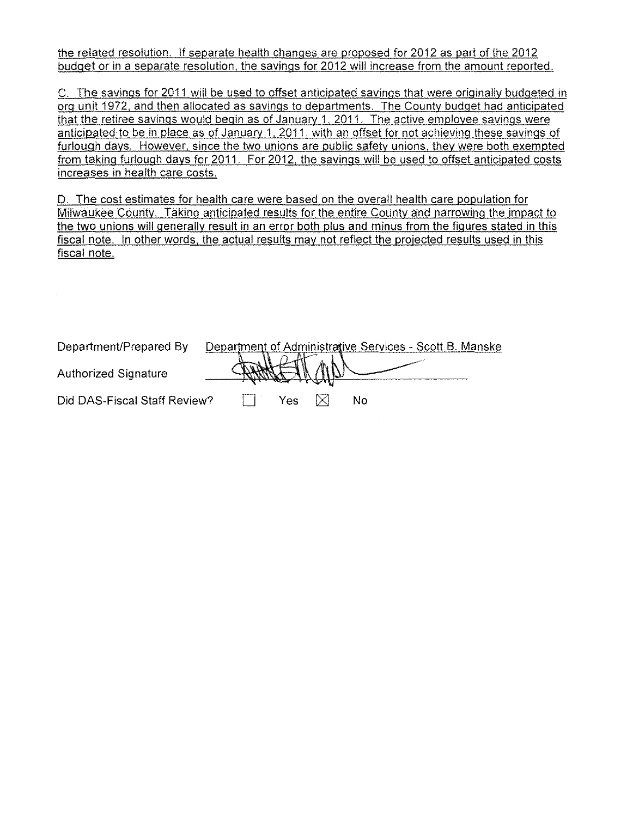the related resolution. If separate health changes are proposed for 2012 as part of the 2012 budget or in a separate resolution. the savings for 2012 will increase from the amount reported.

C. The savings for 2011 will be used to offset anticipated savings that were originally budgeted in org unit 1972, and then allocated as savings to departments. The County budget had anticipated that the retiree savings would begin as of January 1, 2011. The active employee savings were anticipated to be in place as of January 1, 2011, with an offset for not achieving these savings of furlough days. However, since the two unions are public safety unions. they were both exempted from taking furlough days for 2011. For 2012, the savings will be used to offset anticipated costs increases in health care costs.

D. The cost estimates for health care were based on the overall health care population for Milwaukee County. Taking anticipated results for the entire County and narrowing the impact to the two unions will generally result in an error both plus and minus from the figures stated in this fiscal note. In other words, the actual results may not reflect the projected results used in this fiscal note.

| Department/Prepared By       | Department of Administrative Services - Scott B. Manske |     |           |    |  |
|------------------------------|---------------------------------------------------------|-----|-----------|----|--|
| <b>Authorized Signature</b>  |                                                         |     | $M$ / $E$ |    |  |
|                              |                                                         |     |           |    |  |
| Did DAS-Fiscal Staff Review? |                                                         | Yes |           | N٥ |  |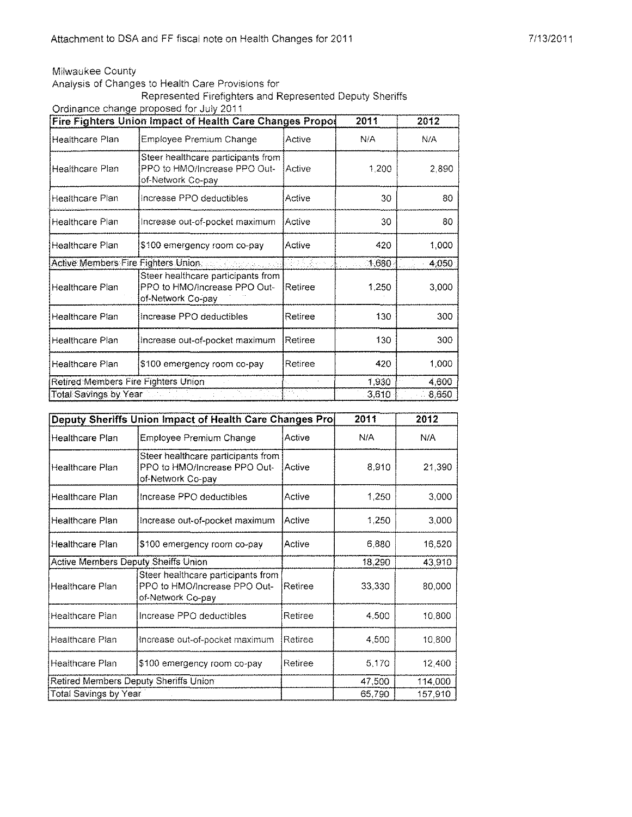### Milwaukee County

Analysis of Changes to Health Care Provisions for

Represented Firefighters and Represented Deputy Sheriffs

Ordinance change proposed for July 2011

|                                     | Fire Fighters Union Impact of Health Care Changes Propos                                |         | 2011    | 2012  |
|-------------------------------------|-----------------------------------------------------------------------------------------|---------|---------|-------|
| Healthcare Plan                     | Employee Premium Change                                                                 | Active  | NIA     | N/A   |
| <b>Healthcare Plan</b>              | Steer healthcare participants from<br>PPO to HMO/increase PPO Out-<br>of-Network Co-pay | Active  | 1,200   | 2,890 |
| Healthcare Plan                     | Increase PPO deductibles                                                                | Active  | 30      | 80    |
| Healthcare Plan                     | Increase out-of-pocket maximum                                                          | Active  | 30      | 80.   |
| Healthcare Plan                     | \$100 emergency room co-pay                                                             | Active  | 420     | 1,000 |
| Active Members Fire Fighters Union  |                                                                                         | 참 넘 옷님  | (1,680) | 4,050 |
| Healthcare Plan                     | Steer healthcare participants from<br>PPO to HMO/Increase PPO Out-<br>of-Network Co-pay | Retiree | 1,250   | 3,000 |
| Healthcare Plan                     | Increase PPO deductibles                                                                | Retiree | 130     | 300   |
| Healthcare Plan                     | Increase out-of-pocket maximum                                                          | Retiree | 130     | 300   |
| Healthcare Plan                     | \$100 emergency room co-pay                                                             | Retiree | 420     | 1,000 |
| Retired Members Fire Fighters Union |                                                                                         |         | 1,930   | 4,600 |
| Total Savings by Year Market Links  | the gas                                                                                 |         | 3,610   | 8,650 |

|                                            | Deputy Sheriffs Union Impact of Health Care Changes Pro                                 |         | 2011   | 2012    |
|--------------------------------------------|-----------------------------------------------------------------------------------------|---------|--------|---------|
| Healthcare Plan                            | Employee Premium Change                                                                 | Active  | N/A    | N/A     |
| Healthcare Plan                            | Steer healthcare participants from<br>PPO to HMO/Increase PPO Out-<br>of-Network Co-pay | IActive | 8,910  | 21,390  |
| Healthcare Plan                            | Increase PPO deductibles                                                                | Active  | 1,250  | 3,000   |
| Healthcare Plan                            | Increase out-of-pocket maximum                                                          | Active  | 1,250  | 3,000   |
| Healthcare Plan                            | \$100 emergency room co-pay                                                             | Active  | 6,880  | 16,520  |
| <b>Active Members Deputy Sheiffs Union</b> |                                                                                         |         | 18,290 | 43,910  |
| <b>Healthcare Plan</b>                     | Steer healthcare participants from<br>PPO to HMO/Increase PPO Out-<br>of-Network Co-pay | Retiree | 33,330 | 80,000  |
| Healthcare Plan                            | Increase PPO deductibles                                                                | Retiree | 4,500  | 10,800  |
| Healthcare Plan                            | Increase out-of-pocket maximum                                                          | Retiree | 4,500  | 10,800  |
| Healthcare Plan                            | \$100 emergency room co-pay                                                             | Retiree | 5.170  | 12,400  |
| Retired Members Deputy Sheriffs Union      |                                                                                         |         | 47,500 | 114,000 |
| Total Savings by Year                      |                                                                                         |         | 65 790 | 157,910 |